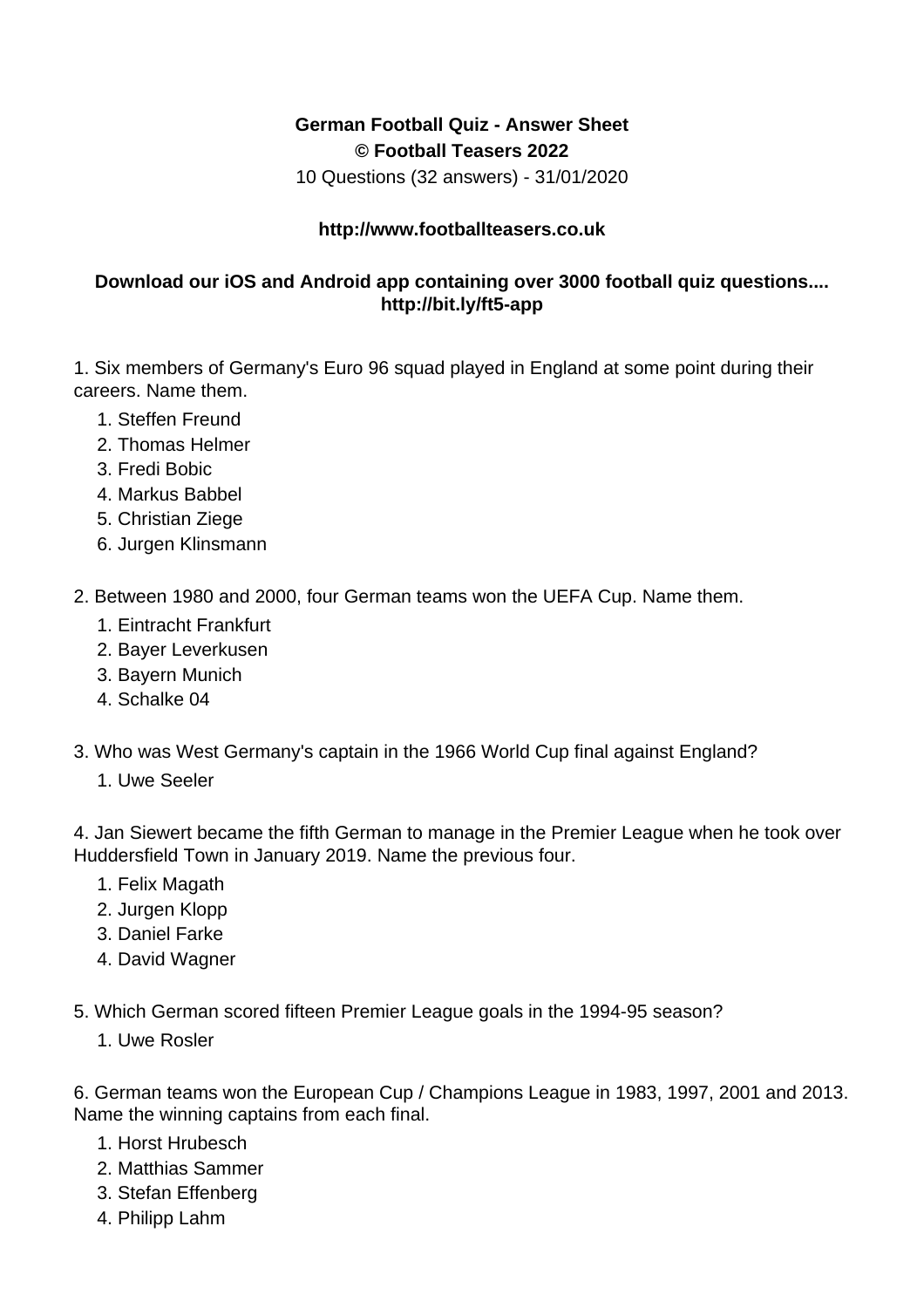## **German Football Quiz - Answer Sheet © Football Teasers 2022**

10 Questions (32 answers) - 31/01/2020

## **http://www.footballteasers.co.uk**

## **Download our iOS and Android app containing over 3000 football quiz questions.... http://bit.ly/ft5-app**

1. Six members of Germany's Euro 96 squad played in England at some point during their careers. Name them.

- 1. Steffen Freund
- 2. Thomas Helmer
- 3. Fredi Bobic
- 4. Markus Babbel
- 5. Christian Ziege
- 6. Jurgen Klinsmann
- 2. Between 1980 and 2000, four German teams won the UEFA Cup. Name them.
	- 1. Eintracht Frankfurt
	- 2. Bayer Leverkusen
	- 3. Bayern Munich
	- 4. Schalke 04
- 3. Who was West Germany's captain in the 1966 World Cup final against England?
	- 1. Uwe Seeler

4. Jan Siewert became the fifth German to manage in the Premier League when he took over Huddersfield Town in January 2019. Name the previous four.

- 1. Felix Magath
- 2. Jurgen Klopp
- 3. Daniel Farke
- 4. David Wagner

5. Which German scored fifteen Premier League goals in the 1994-95 season?

1. Uwe Rosler

6. German teams won the European Cup / Champions League in 1983, 1997, 2001 and 2013. Name the winning captains from each final.

- 1. Horst Hrubesch
- 2. Matthias Sammer
- 3. Stefan Effenberg
- 4. Philipp Lahm